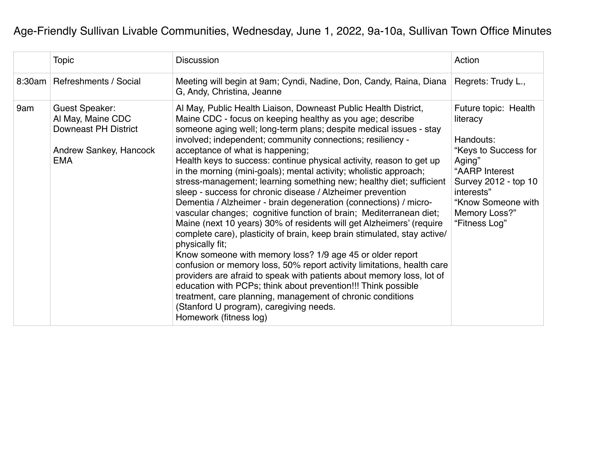## Age-Friendly Sullivan Livable Communities, Wednesday, June 1, 2022, 9a-10a, Sullivan Town Office Minutes

|     | <b>Topic</b>                                                                                               | <b>Discussion</b>                                                                                                                                                                                                                                                                                                                                                                                                                                                                                                                                                                                                                                                                                                                                                                                                                                                                                                                                                                                                                                                                                                                                                                                                                                                                                                           | Action                                                                                                                                                                                          |
|-----|------------------------------------------------------------------------------------------------------------|-----------------------------------------------------------------------------------------------------------------------------------------------------------------------------------------------------------------------------------------------------------------------------------------------------------------------------------------------------------------------------------------------------------------------------------------------------------------------------------------------------------------------------------------------------------------------------------------------------------------------------------------------------------------------------------------------------------------------------------------------------------------------------------------------------------------------------------------------------------------------------------------------------------------------------------------------------------------------------------------------------------------------------------------------------------------------------------------------------------------------------------------------------------------------------------------------------------------------------------------------------------------------------------------------------------------------------|-------------------------------------------------------------------------------------------------------------------------------------------------------------------------------------------------|
|     | 8:30am   Refreshments / Social                                                                             | Meeting will begin at 9am; Cyndi, Nadine, Don, Candy, Raina, Diana<br>G, Andy, Christina, Jeanne                                                                                                                                                                                                                                                                                                                                                                                                                                                                                                                                                                                                                                                                                                                                                                                                                                                                                                                                                                                                                                                                                                                                                                                                                            | Regrets: Trudy L.,                                                                                                                                                                              |
| 9am | Guest Speaker:<br>Al May, Maine CDC<br><b>Downeast PH District</b><br>Andrew Sankey, Hancock<br><b>EMA</b> | Al May, Public Health Liaison, Downeast Public Health District,<br>Maine CDC - focus on keeping healthy as you age; describe<br>someone aging well; long-term plans; despite medical issues - stay<br>involved; independent; community connections; resiliency -<br>acceptance of what is happening;<br>Health keys to success: continue physical activity, reason to get up<br>in the morning (mini-goals); mental activity; wholistic approach;<br>stress-management; learning something new; healthy diet; sufficient<br>sleep - success for chronic disease / Alzheimer prevention<br>Dementia / Alzheimer - brain degeneration (connections) / micro-<br>vascular changes; cognitive function of brain; Mediterranean diet;<br>Maine (next 10 years) 30% of residents will get Alzheimers' (require<br>complete care), plasticity of brain, keep brain stimulated, stay active/<br>physically fit;<br>Know someone with memory loss? 1/9 age 45 or older report<br>confusion or memory loss, 50% report activity limitations, health care<br>providers are afraid to speak with patients about memory loss, lot of<br>education with PCPs; think about prevention!!! Think possible<br>treatment, care planning, management of chronic conditions<br>(Stanford U program), caregiving needs.<br>Homework (fitness log) | Future topic: Health<br>literacy<br>Handouts:<br>"Keys to Success for<br>Aging"<br>"AARP Interest<br>Survey 2012 - top 10<br>interests"<br>"Know Someone with<br>Memory Loss?"<br>"Fitness Log" |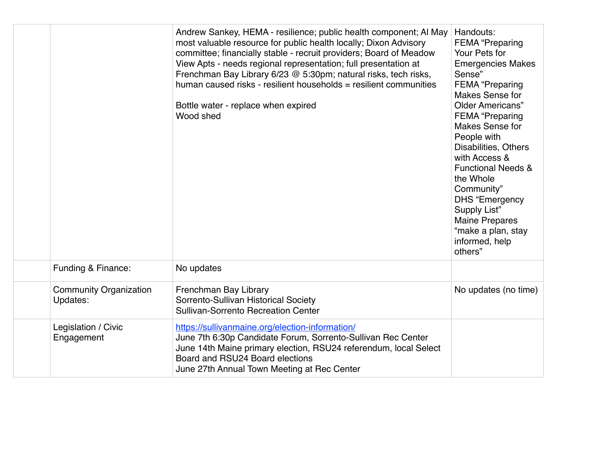|                                           | Andrew Sankey, HEMA - resilience; public health component; Al May<br>most valuable resource for public health locally; Dixon Advisory<br>committee; financially stable - recruit providers; Board of Meadow<br>View Apts - needs regional representation; full presentation at<br>Frenchman Bay Library 6/23 @ 5:30pm; natural risks, tech risks,<br>human caused risks - resilient households = resilient communities<br>Bottle water - replace when expired<br>Wood shed | Handouts:<br><b>FEMA</b> "Preparing<br>Your Pets for<br><b>Emergencies Makes</b><br>Sense"<br><b>FEMA</b> "Preparing<br><b>Makes Sense for</b><br><b>Older Americans"</b><br><b>FEMA</b> "Preparing<br><b>Makes Sense for</b><br>People with<br>Disabilities, Others<br>with Access &<br><b>Functional Needs &amp;</b><br>the Whole<br>Community"<br><b>DHS</b> "Emergency<br>Supply List"<br><b>Maine Prepares</b><br>"make a plan, stay<br>informed, help<br>others" |
|-------------------------------------------|----------------------------------------------------------------------------------------------------------------------------------------------------------------------------------------------------------------------------------------------------------------------------------------------------------------------------------------------------------------------------------------------------------------------------------------------------------------------------|------------------------------------------------------------------------------------------------------------------------------------------------------------------------------------------------------------------------------------------------------------------------------------------------------------------------------------------------------------------------------------------------------------------------------------------------------------------------|
| Funding & Finance:                        | No updates                                                                                                                                                                                                                                                                                                                                                                                                                                                                 |                                                                                                                                                                                                                                                                                                                                                                                                                                                                        |
| <b>Community Organization</b><br>Updates: | Frenchman Bay Library<br>Sorrento-Sullivan Historical Society<br><b>Sullivan-Sorrento Recreation Center</b>                                                                                                                                                                                                                                                                                                                                                                | No updates (no time)                                                                                                                                                                                                                                                                                                                                                                                                                                                   |
| Legislation / Civic<br>Engagement         | https://sullivanmaine.org/election-information/<br>June 7th 6:30p Candidate Forum, Sorrento-Sullivan Rec Center<br>June 14th Maine primary election, RSU24 referendum, local Select<br>Board and RSU24 Board elections<br>June 27th Annual Town Meeting at Rec Center                                                                                                                                                                                                      |                                                                                                                                                                                                                                                                                                                                                                                                                                                                        |